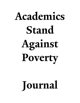# **Academics Stand Against Poverty**

## **Journal**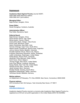### **Impressum**

### **Academics Stand Against Poverty** (Journal ASAP)

ISSN 2690-3458 (electronic edition) ISSN 2690-3431 (print edition)

### **Managing Editor:**

Najid Ahmad, Xiangtan, China

### **Essay Editor:**

Kieran Donaghue, Canberra, Australia

### **Administrative Officer:**

Paul Keller, Barcelona, Spain

### **Editorial Board:**

Najid Ahmad, Xiangtan, China David Alvarez Garcia, Vigo, Spain Michal Apollo, Cracow, Poland Arsène Brice Bado, Abidjan, Côte d'Ivoire Paula Casal, Barcelona, Spain Neera Chandhoke, New Delhi, India Horman Chitonge, Cape Town, South Africa Alberto Daniel Cimadamore, Buenos Aires, Argentina Johnny Antonio Dávila, Medellín, Colombia Paulette Dieterlen Struck, Mexico City, Mexico Evaristus Okechukwu Ekwueme, Harare, Zimbabwe Judith Lichtenberg, Washington, United States Pahlaj Moolio, Phnom Penh, Cambodia Alexander Chido Msimuko, Kitwe, Zambia Gorik Ooms, Ghent, Belgium Thomas Pogge, New Haven, United States Sven Prien Ribcke, Lüneburg, Germany Sanjay Reddy, New York City, United States Santosh Kumar Sahu, Chennai, India Jakob Schwab, Bonn, Germany Khadija Sharife, Gauteng, South Africa Magdalene Silberberger, Witten, Germany Véronique Zanetti, Bielefeld, Germany

### **Mailing address:**

c/o Department of Philosophy, P.O. Box 208306, New Haven, Connecticut, 06520-8306

### **Physical address:**

203 Connecticut Hall, Old Campus, Yale University New Haven, CT 06511

### **Contact**

editor@journalasap.org

Academics Against Poverty Journal is a Journal under Academics Stand Against Poverty Inc., registered as a 501(c)3 non-profit organization in the United States (EIN # 32-0324998).